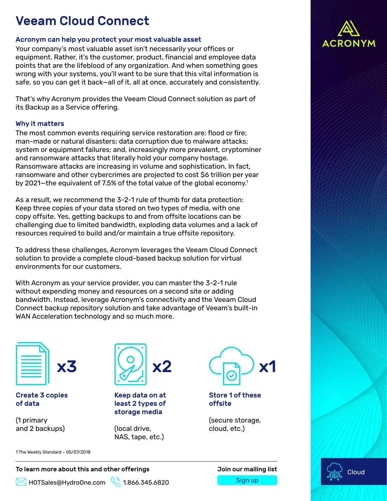# Veeam Cloud Connect

### Acronym can help you protect your most valuable asset

Your company's most valuable asset isn't necessarily your offices or equipment. Rather, it's the customer, product, financial and employee data points that are the lifeblood of any organization. And when something goes wrong with your systems, you'll want to be sure that this vital information is safe, so you can get it back—all of it, all at once, accurately and consistently.

That's why Acronym provides the Veeam Cloud Connect solution as part of its Backup as a Service offering.

## Why it matters

The most common events requiring service restoration are: flood or fire; man-made or natural disasters; data corruption due to malware attacks; system or equipment failures; and, increasingly more prevalent, cryptominer and ransomware attacks that literally hold your company hostage. Ransomware attacks are increasing in volume and sophistication. In fact, ransomware and other cybercrimes are projected to cost \$6 trillion per year by 2021-the equivalent of 7.5% of the total value of the global economy.<sup>1</sup>

As a result, we recommend the 3-2-1 rule of thumb for data protection: Keep three copies of your data stored on two types of media, with one copy offsite. Yes, getting backups to and from offsite locations can be challenging due to limited bandwidth, exploding data volumes and a lack of resources required to build and/or maintain a true offsite repository.

To address these challenges, Acronym leverages the Veeam Cloud Connect solution to provide a complete cloud-based backup solution for virtual environments for our customers.

With Acronym as your service provider, you can master the 3-2-1 rule without expending money and resources on a second site or adding bandwidth. Instead, leverage Acronym's connectivity and the Veeam Cloud Connect backup repository solution and take advantage of Veeam's built-in WAN Acceleration technology and so much more.



### Create 3 copies of data

(1 primary and 2 backups)



Keep data on at least 2 types of storage media

(local drive, NAS, tape, etc.)



Store 1 of these offsite

(secure storage, cloud, etc.)





1 The Weekly Standard – 05/07/2018

### To learn more about this and other offerings **Source Act and Sour mailing list**